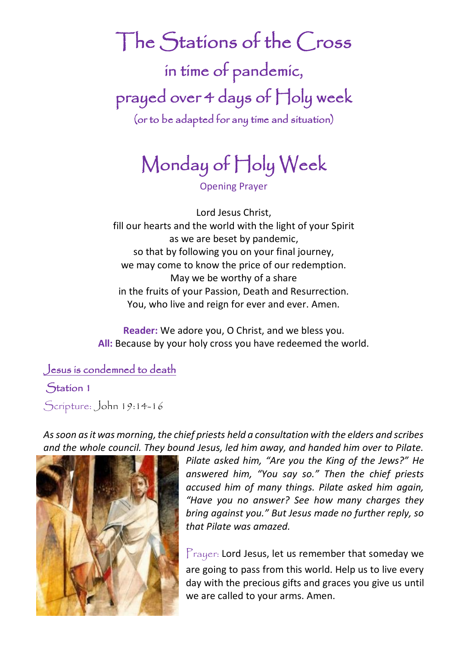The Stations of the Cross in time of pandemic, prayed over 4 days of Holy week (or to be adapted for any time and situation)

# Monday of Holy Week

Opening Prayer

Lord Jesus Christ, fill our hearts and the world with the light of your Spirit as we are beset by pandemic, so that by following you on your final journey, we may come to know the price of our redemption. May we be worthy of a share in the fruits of your Passion, Death and Resurrection. You, who live and reign for ever and ever. Amen.

**Reader:** We adore you, O Christ, and we bless you. **All:** Because by your holy cross you have redeemed the world.

Jesus is condemned to death

Station 1

Scripture: John 19:14-16

*As soon as it was morning, the chief priests held a consultation with the elders and scribes and the whole council. They bound Jesus, led him away, and handed him over to Pilate.* 



*Pilate asked him, "Are you the King of the Jews?" He answered him, "You say so." Then the chief priests accused him of many things. Pilate asked him again, "Have you no answer? See how many charges they bring against you." But Jesus made no further reply, so that Pilate was amazed.*

Prayer: Lord Jesus, let us remember that someday we are going to pass from this world. Help us to live every day with the precious gifts and graces you give us until we are called to your arms. Amen.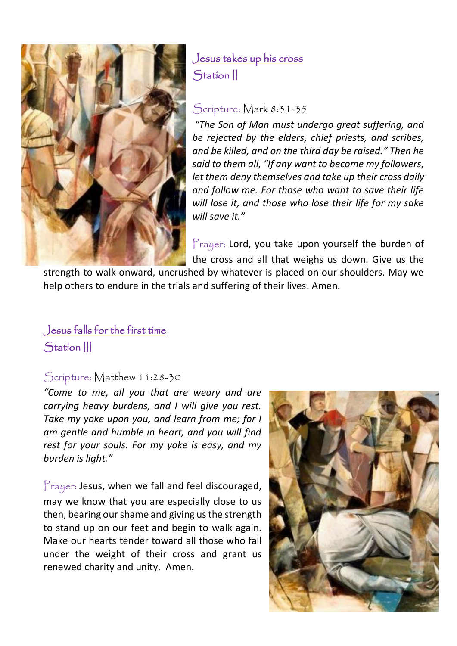

## Jesus takes up his cross Station II

#### Scripture: Mark 8:31-35

*"The Son of Man must undergo great suffering, and be rejected by the elders, chief priests, and scribes, and be killed, and on the third day be raised." Then he said to them all, "If any want to become my followers, let them deny themselves and take up their cross daily and follow me. For those who want to save their life will lose it, and those who lose their life for my sake will save it."*

Prayer: Lord, you take upon yourself the burden of the cross and all that weighs us down. Give us the

strength to walk onward, uncrushed by whatever is placed on our shoulders. May we help others to endure in the trials and suffering of their lives. Amen.

## Jesus falls for the first time Station |||

#### Scripture: Matthew 11:28-30

*"Come to me, all you that are weary and are carrying heavy burdens, and I will give you rest. Take my yoke upon you, and learn from me; for I am gentle and humble in heart, and you will find rest for your souls. For my yoke is easy, and my burden is light."*

Prayer: Jesus, when we fall and feel discouraged, may we know that you are especially close to us then, bearing our shame and giving us the strength to stand up on our feet and begin to walk again. Make our hearts tender toward all those who fall under the weight of their cross and grant us renewed charity and unity. Amen.

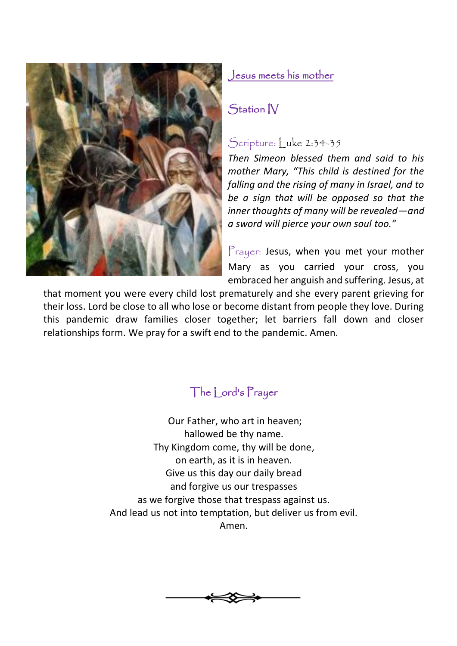

#### Jesus meets his mother

### Station IV

### Scripture: Luke 2:34-35

*Then Simeon blessed them and said to his mother Mary, "This child is destined for the falling and the rising of many in Israel, and to be a sign that will be opposed so that the inner thoughts of many will be revealed—and a sword will pierce your own soul too."* 

Prayer: Jesus, when you met your mother Mary as you carried your cross, you embraced her anguish and suffering. Jesus, at

that moment you were every child lost prematurely and she every parent grieving for their loss. Lord be close to all who lose or become distant from people they love. During this pandemic draw families closer together; let barriers fall down and closer relationships form. We pray for a swift end to the pandemic. Amen.

## The Lord's Prayer

Our Father, who art in heaven; hallowed be thy name. Thy Kingdom come, thy will be done, on earth, as it is in heaven. Give us this day our daily bread and forgive us our trespasses as we forgive those that trespass against us. And lead us not into temptation, but deliver us from evil. Amen.

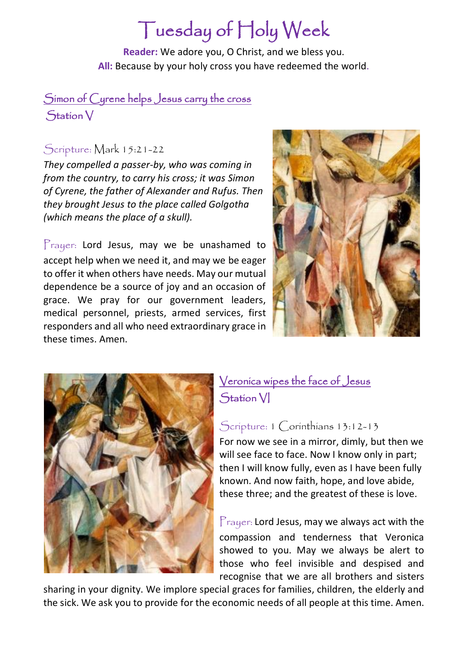## Tuesday of Holy Week

**Reader:** We adore you, O Christ, and we bless you. **All:** Because by your holy cross you have redeemed the world.

#### Simon of Cyrene helps Jesus carry the cross Station V

#### Scripture: Mark 15:21-22

*They compelled a passer-by, who was coming in from the country, to carry his cross; it was Simon of Cyrene, the father of Alexander and Rufus. Then they brought Jesus to the place called Golgotha (which means the place of a skull).* 

Prayer: Lord Jesus, may we be unashamed to accept help when we need it, and may we be eager to offer it when others have needs. May our mutual dependence be a source of joy and an occasion of grace. We pray for our government leaders, medical personnel, priests, armed services, first responders and all who need extraordinary grace in these times. Amen.





## Veronica wipes the face of Jesus Station VI

#### Scripture: 1 Corinthians 13:12-13

For now we see in a mirror, dimly, but then we will see face to face. Now I know only in part; then I will know fully, even as I have been fully known. And now faith, hope, and love abide, these three; and the greatest of these is love.

 $P$ rayer: Lord Jesus, may we always act with the compassion and tenderness that Veronica showed to you. May we always be alert to those who feel invisible and despised and recognise that we are all brothers and sisters

sharing in your dignity. We implore special graces for families, children, the elderly and the sick. We ask you to provide for the economic needs of all people at this time. Amen.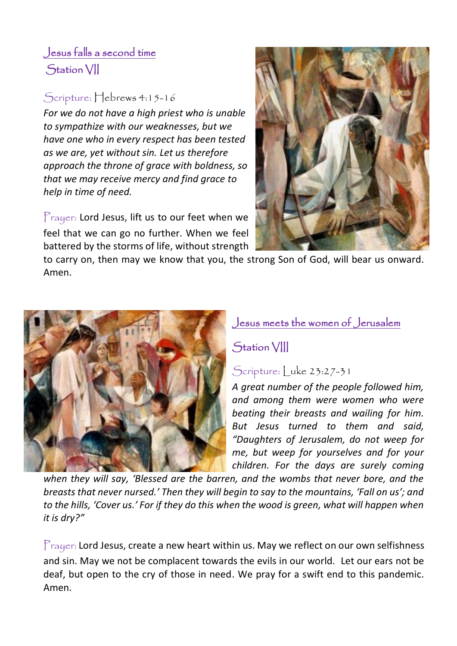## Jesus falls a second time Station VII

## Scripture: Hebrews 4:15-16

*For we do not have a high priest who is unable to sympathize with our weaknesses, but we have one who in every respect has been tested as we are, yet without sin. Let us therefore approach the throne of grace with boldness, so that we may receive mercy and find grace to help in time of need.*

Prayer: Lord Jesus, lift us to our feet when we feel that we can go no further. When we feel battered by the storms of life, without strength



to carry on, then may we know that you, the strong Son of God, will bear us onward. Amen.



### Jesus meets the women of Jerusalem

## Station VIII

### Scripture: Luke 23:27-31

*A great number of the people followed him, and among them were women who were beating their breasts and wailing for him. But Jesus turned to them and said, "Daughters of Jerusalem, do not weep for me, but weep for yourselves and for your children. For the days are surely coming* 

*when they will say, 'Blessed are the barren, and the wombs that never bore, and the breasts that never nursed.' Then they will begin to say to the mountains, 'Fall on us'; and to the hills, 'Cover us.' For if they do this when the wood is green, what will happen when it is dry?"*

 $P_{\text{rayer:}}$  Lord Jesus, create a new heart within us. May we reflect on our own selfishness and sin. May we not be complacent towards the evils in our world. Let our ears not be deaf, but open to the cry of those in need. We pray for a swift end to this pandemic. Amen.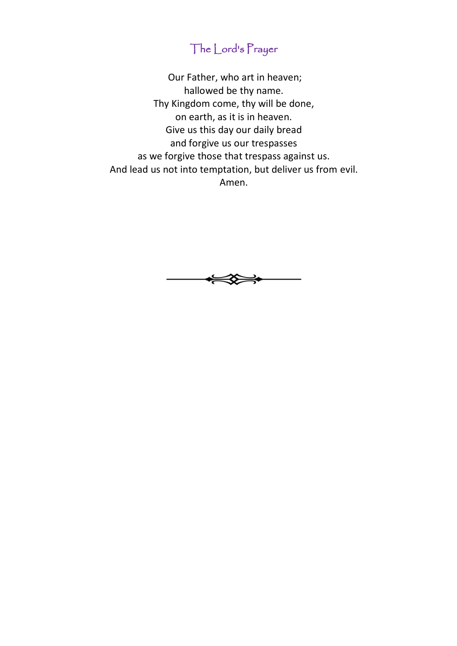## The Lord's Prayer

Our Father, who art in heaven; hallowed be thy name. Thy Kingdom come, thy will be done, on earth, as it is in heaven. Give us this day our daily bread and forgive us our trespasses as we forgive those that trespass against us. And lead us not into temptation, but deliver us from evil. Amen.

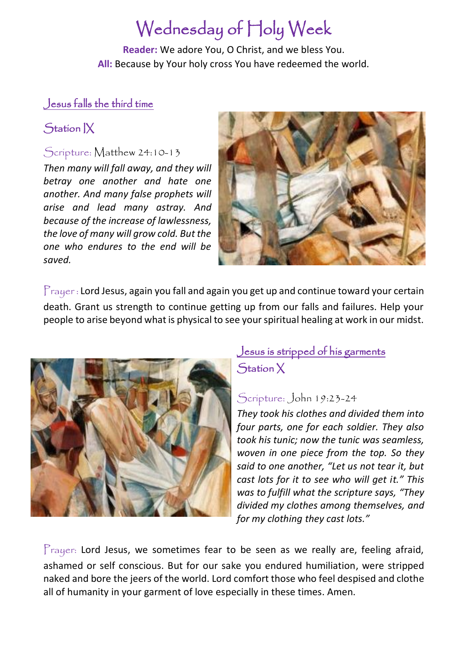## Wednesday of Holy Week

**Reader:** We adore You, O Christ, and we bless You. **All:** Because by Your holy cross You have redeemed the world.

#### Jesus falls the third time

## Station IX

#### Scripture: Matthew 24:10-13

*Then many will fall away, and they will betray one another and hate one another. And many false prophets will arise and lead many astray. And because of the increase of lawlessness, the love of many will grow cold. But the one who endures to the end will be saved.*



Prayer : Lord Jesus, again you fall and again you get up and continue toward your certain death. Grant us strength to continue getting up from our falls and failures. Help your people to arise beyond what is physical to see your spiritual healing at work in our midst.



## Jesus is stripped of his garments Station X

#### Scripture: John 19:23-24

*They took his clothes and divided them into four parts, one for each soldier. They also took his tunic; now the tunic was seamless, woven in one piece from the top. So they said to one another, "Let us not tear it, but cast lots for it to see who will get it." This was to fulfill what the scripture says, "They divided my clothes among themselves, and for my clothing they cast lots."*

 $P_{\text{rayer:}}$  Lord Jesus, we sometimes fear to be seen as we really are, feeling afraid, ashamed or self conscious. But for our sake you endured humiliation, were stripped naked and bore the jeers of the world. Lord comfort those who feel despised and clothe all of humanity in your garment of love especially in these times. Amen.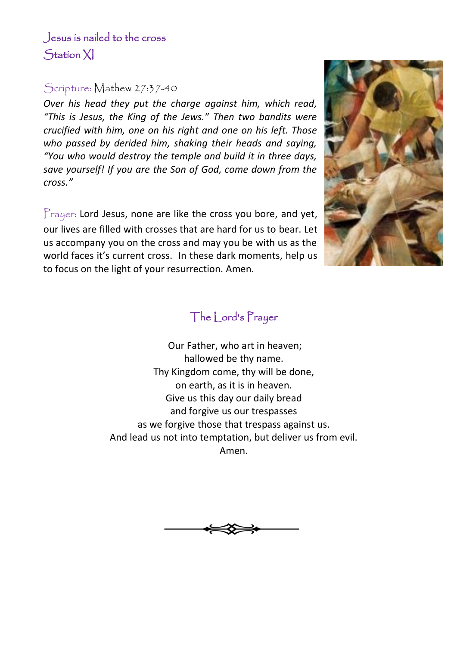#### Scripture: Mathew 27:37-40

*Over his head they put the charge against him, which read, "This is Jesus, the King of the Jews." Then two bandits were crucified with him, one on his right and one on his left. Those who passed by derided him, shaking their heads and saying, "You who would destroy the temple and build it in three days, save yourself! If you are the Son of God, come down from the cross."*

Prayer: Lord Jesus, none are like the cross you bore, and yet, our lives are filled with crosses that are hard for us to bear. Let us accompany you on the cross and may you be with us as the world faces it's current cross. In these dark moments, help us to focus on the light of your resurrection. Amen.



## The Lord's Prayer

Our Father, who art in heaven; hallowed be thy name. Thy Kingdom come, thy will be done, on earth, as it is in heaven. Give us this day our daily bread and forgive us our trespasses as we forgive those that trespass against us. And lead us not into temptation, but deliver us from evil. Amen.

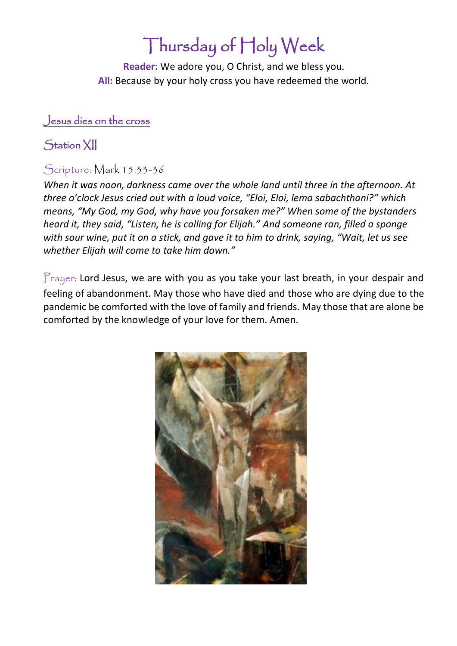## Thursday of Holy Week

**Reader:** We adore you, O Christ, and we bless you. **All:** Because by your holy cross you have redeemed the world.

#### Jesus dies on the cross

### Station XII

#### Scripture: Mark 15:33-36

*When it was noon, darkness came over the whole land until three in the afternoon. At three o'clock Jesus cried out with a loud voice, "Eloi, Eloi, lema sabachthani?" which means, "My God, my God, why have you forsaken me?" When some of the bystanders heard it, they said, "Listen, he is calling for Elijah." And someone ran, filled a sponge with sour wine, put it on a stick, and gave it to him to drink, saying, "Wait, let us see whether Elijah will come to take him down."*

 $P_{\text{rayer:}}$  Lord Jesus, we are with you as you take your last breath, in your despair and feeling of abandonment. May those who have died and those who are dying due to the pandemic be comforted with the love of family and friends. May those that are alone be comforted by the knowledge of your love for them. Amen.

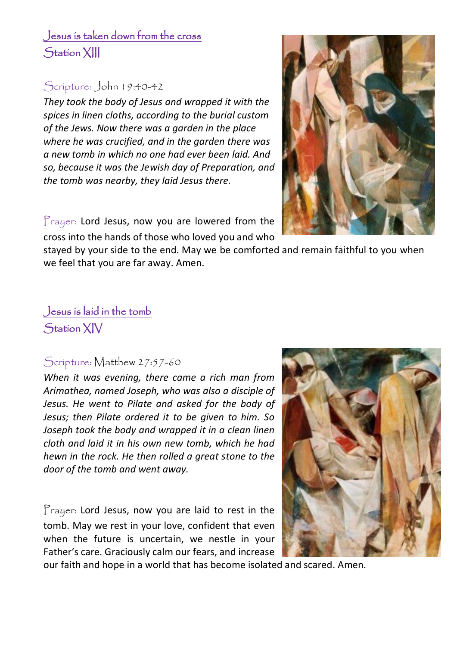## Jesus is taken down from the cross Station XIII

#### Scripture: John 19:40-42

*They took the body of Jesus and wrapped it with the spices in linen cloths, according to the burial custom of the Jews. Now there was a garden in the place where he was crucified, and in the garden there was a new tomb in which no one had ever been laid. And so, because it was the Jewish day of Preparation, and the tomb was nearby, they laid Jesus there.*

Prayer: Lord Jesus, now you are lowered from the cross into the hands of those who loved you and who

stayed by your side to the end. May we be comforted and remain faithful to you when we feel that you are far away. Amen.

#### Jesus is laid in the tomb Station XIV

#### Scripture: Matthew 27:57-60

*When it was evening, there came a rich man from Arimathea, named Joseph, who was also a disciple of Jesus. He went to Pilate and asked for the body of Jesus; then Pilate ordered it to be given to him. So Joseph took the body and wrapped it in a clean linen cloth and laid it in his own new tomb, which he had hewn in the rock. He then rolled a great stone to the door of the tomb and went away.* 

Prayer: Lord Jesus, now you are laid to rest in the tomb. May we rest in your love, confident that even when the future is uncertain, we nestle in your Father's care. Graciously calm our fears, and increase

our faith and hope in a world that has become isolated and scared. Amen.